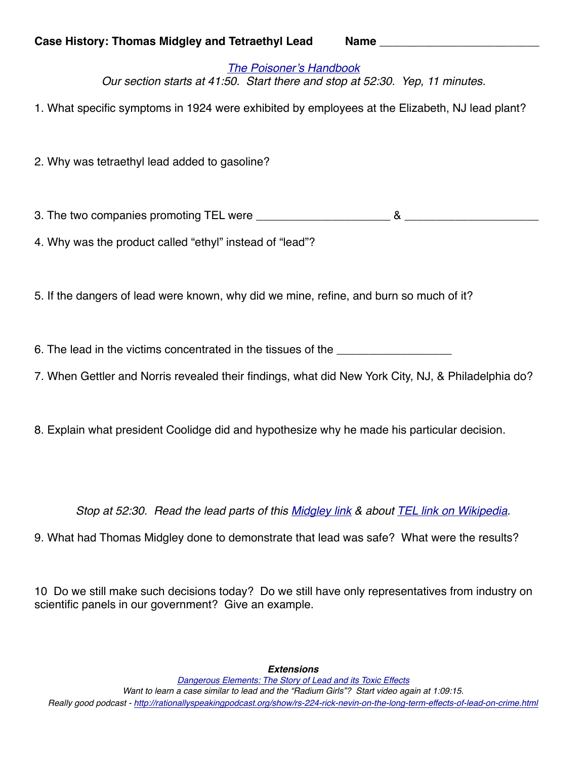*[The Poisoner's Handbook](https://www.youtube.com/watch?v=mNfYGDAqFvQ) Our section starts at 41:50. Start there and stop at 52:30. Yep, 11 minutes.* 

1. What specific symptoms in 1924 were exhibited by employees at the Elizabeth, NJ lead plant?

2. Why was tetraethyl lead added to gasoline?

3. The two companies promoting TEL were \_\_\_\_\_\_\_\_\_\_\_\_\_\_\_\_\_\_\_\_\_ & \_\_\_\_\_\_\_\_\_\_\_\_\_\_\_\_\_\_\_\_\_

4. Why was the product called "ethyl" instead of "lead"?

5. If the dangers of lead were known, why did we mine, refine, and burn so much of it?

6. The lead in the victims concentrated in the tissues of the

7. When Gettler and Norris revealed their findings, what did New York City, NJ, & Philadelphia do?

8. Explain what president Coolidge did and hypothesize why he made his particular decision.

*Stop at 52:30. Read the lead parts of this [Midgley link](https://en.wikipedia.org/wiki/Thomas_Midgley_Jr.) & about [TEL link on Wikipedia](https://en.wikipedia.org/wiki/Tetraethyllead).*

9. What had Thomas Midgley done to demonstrate that lead was safe? What were the results?

10 Do we still make such decisions today? Do we still have only representatives from industry on scientific panels in our government? Give an example.

*Extensions*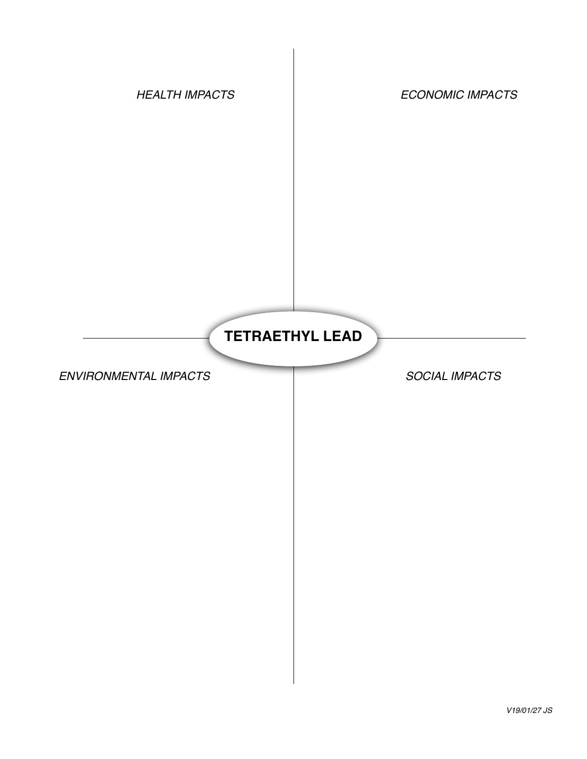